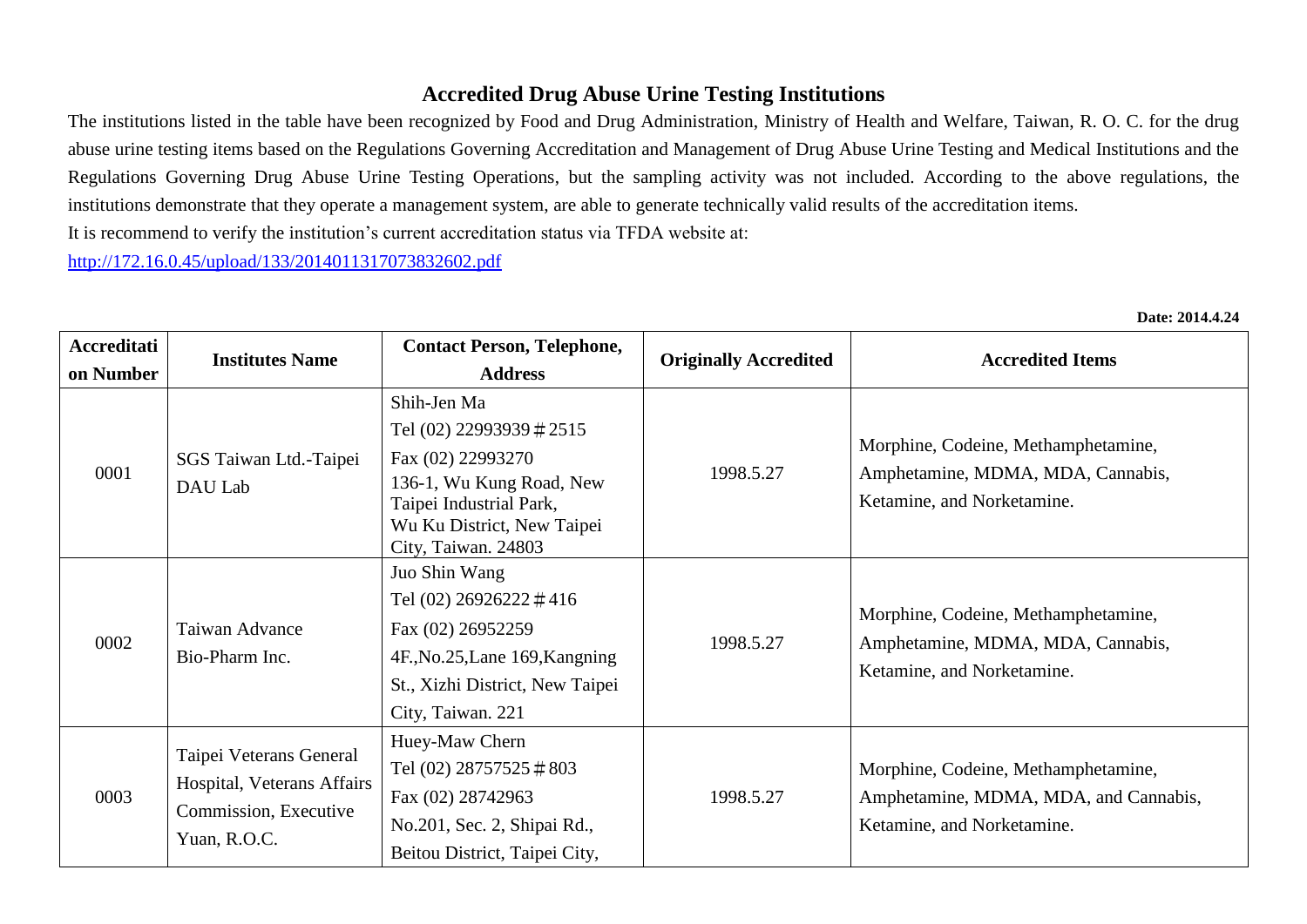## **Accredited Drug Abuse Urine Testing Institutions**

The institutions listed in the table have been recognized by Food and Drug Administration, Ministry of Health and Welfare, Taiwan, R. O. C. for the drug abuse urine testing items based on the Regulations Governing Accreditation and Management of Drug Abuse Urine Testing and Medical Institutions and the Regulations Governing Drug Abuse Urine Testing Operations, but the sampling activity was not included. According to the above regulations, the institutions demonstrate that they operate a management system, are able to generate technically valid results of the accreditation items.

It is recommend to verify the institution's current accreditation status via TFDA website at:

<http://172.16.0.45/upload/133/2014011317073832602.pdf>

| Accreditati<br>on Number | <b>Institutes Name</b>                                                                         | <b>Contact Person, Telephone,</b><br><b>Address</b>                                                                                                                      | <b>Originally Accredited</b> | <b>Accredited Items</b>                                                                                    |
|--------------------------|------------------------------------------------------------------------------------------------|--------------------------------------------------------------------------------------------------------------------------------------------------------------------------|------------------------------|------------------------------------------------------------------------------------------------------------|
| 0001                     | SGS Taiwan Ltd.-Taipei<br>DAU Lab                                                              | Shih-Jen Ma<br>Tel (02) 22993939 # 2515<br>Fax (02) 22993270<br>136-1, Wu Kung Road, New<br>Taipei Industrial Park,<br>Wu Ku District, New Taipei<br>City, Taiwan. 24803 | 1998.5.27                    | Morphine, Codeine, Methamphetamine,<br>Amphetamine, MDMA, MDA, Cannabis,<br>Ketamine, and Norketamine.     |
| 0002                     | Taiwan Advance<br>Bio-Pharm Inc.                                                               | Juo Shin Wang<br>Tel (02) 26926222 #416<br>Fax (02) 26952259<br>4F., No.25, Lane 169, Kangning<br>St., Xizhi District, New Taipei<br>City, Taiwan. 221                   | 1998.5.27                    | Morphine, Codeine, Methamphetamine,<br>Amphetamine, MDMA, MDA, Cannabis,<br>Ketamine, and Norketamine.     |
| 0003                     | Taipei Veterans General<br>Hospital, Veterans Affairs<br>Commission, Executive<br>Yuan, R.O.C. | Huey-Maw Chern<br>Tel $(02)$ 28757525 $\#$ 803<br>Fax (02) 28742963<br>No.201, Sec. 2, Shipai Rd.,<br>Beitou District, Taipei City,                                      | 1998.5.27                    | Morphine, Codeine, Methamphetamine,<br>Amphetamine, MDMA, MDA, and Cannabis,<br>Ketamine, and Norketamine. |

**Date: 2014.4.24**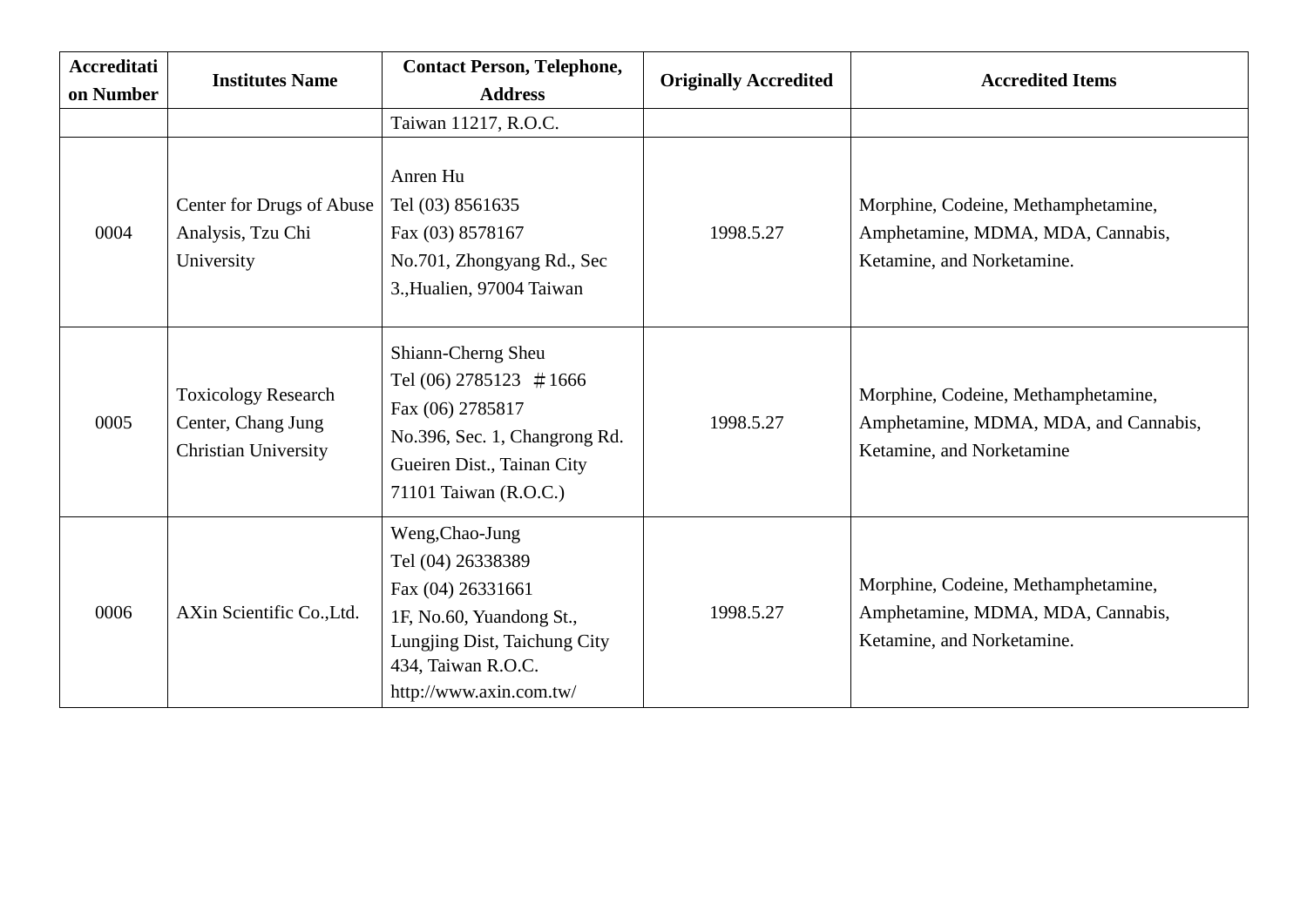| <b>Accreditati</b><br>on Number | <b>Institutes Name</b>                                                          | <b>Contact Person, Telephone,</b><br><b>Address</b>                                                                                                                    | <b>Originally Accredited</b> | <b>Accredited Items</b>                                                                                   |
|---------------------------------|---------------------------------------------------------------------------------|------------------------------------------------------------------------------------------------------------------------------------------------------------------------|------------------------------|-----------------------------------------------------------------------------------------------------------|
|                                 |                                                                                 | Taiwan 11217, R.O.C.                                                                                                                                                   |                              |                                                                                                           |
| 0004                            | Center for Drugs of Abuse<br>Analysis, Tzu Chi<br>University                    | Anren Hu<br>Tel (03) 8561635<br>Fax (03) 8578167<br>No.701, Zhongyang Rd., Sec<br>3., Hualien, 97004 Taiwan                                                            | 1998.5.27                    | Morphine, Codeine, Methamphetamine,<br>Amphetamine, MDMA, MDA, Cannabis,<br>Ketamine, and Norketamine.    |
| 0005                            | <b>Toxicology Research</b><br>Center, Chang Jung<br><b>Christian University</b> | Shiann-Cherng Sheu<br>Tel (06) 2785123 $\#1666$<br>Fax (06) 2785817<br>No.396, Sec. 1, Changrong Rd.<br>Gueiren Dist., Tainan City<br>71101 Taiwan (R.O.C.)            | 1998.5.27                    | Morphine, Codeine, Methamphetamine,<br>Amphetamine, MDMA, MDA, and Cannabis,<br>Ketamine, and Norketamine |
| 0006                            | AXin Scientific Co., Ltd.                                                       | Weng, Chao-Jung<br>Tel (04) 26338389<br>Fax (04) 26331661<br>1F, No.60, Yuandong St.,<br>Lungjing Dist, Taichung City<br>434, Taiwan R.O.C.<br>http://www.axin.com.tw/ | 1998.5.27                    | Morphine, Codeine, Methamphetamine,<br>Amphetamine, MDMA, MDA, Cannabis,<br>Ketamine, and Norketamine.    |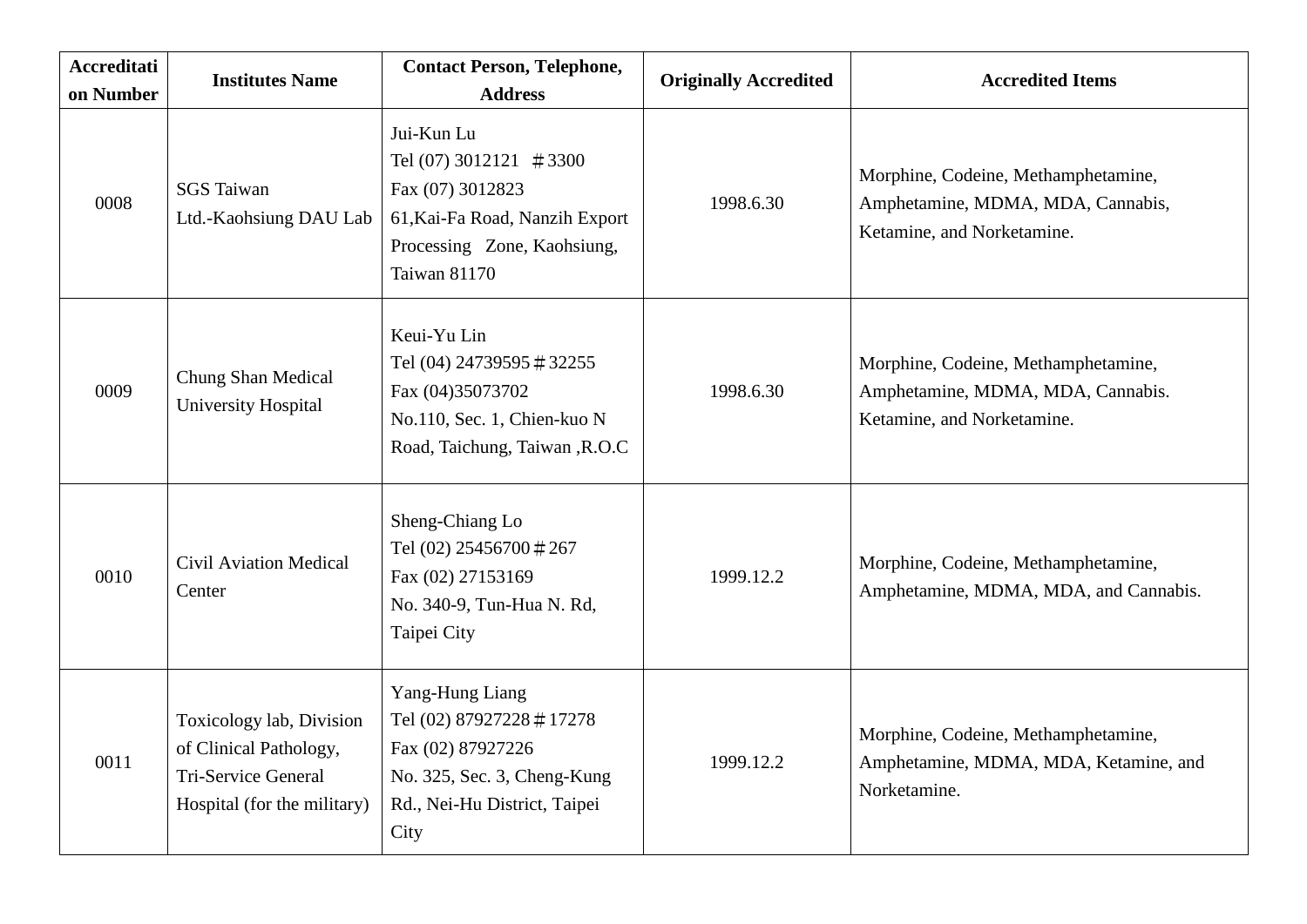| <b>Accreditati</b><br>on Number | <b>Institutes Name</b>                                                                                          | <b>Contact Person, Telephone,</b><br><b>Address</b>                                                                                                 | <b>Originally Accredited</b> | <b>Accredited Items</b>                                                                                |
|---------------------------------|-----------------------------------------------------------------------------------------------------------------|-----------------------------------------------------------------------------------------------------------------------------------------------------|------------------------------|--------------------------------------------------------------------------------------------------------|
| 0008                            | <b>SGS</b> Taiwan<br>Ltd.-Kaohsiung DAU Lab                                                                     | Jui-Kun Lu<br>Tel (07) 3012121 $\#3300$<br>Fax (07) 3012823<br>61, Kai-Fa Road, Nanzih Export<br>Processing Zone, Kaohsiung,<br><b>Taiwan 81170</b> | 1998.6.30                    | Morphine, Codeine, Methamphetamine,<br>Amphetamine, MDMA, MDA, Cannabis,<br>Ketamine, and Norketamine. |
| 0009                            | Chung Shan Medical<br>University Hospital                                                                       | Keui-Yu Lin<br>Tel (04) 24739595 #32255<br>Fax (04)35073702<br>No.110, Sec. 1, Chien-kuo N<br>Road, Taichung, Taiwan, R.O.C                         | 1998.6.30                    | Morphine, Codeine, Methamphetamine,<br>Amphetamine, MDMA, MDA, Cannabis.<br>Ketamine, and Norketamine. |
| 0010                            | <b>Civil Aviation Medical</b><br>Center                                                                         | Sheng-Chiang Lo<br>Tel (02) 25456700 #267<br>Fax (02) 27153169<br>No. 340-9, Tun-Hua N. Rd,<br>Taipei City                                          | 1999.12.2                    | Morphine, Codeine, Methamphetamine,<br>Amphetamine, MDMA, MDA, and Cannabis.                           |
| 0011                            | Toxicology lab, Division<br>of Clinical Pathology,<br><b>Tri-Service General</b><br>Hospital (for the military) | Yang-Hung Liang<br>Tel (02) 87927228 #17278<br>Fax (02) 87927226<br>No. 325, Sec. 3, Cheng-Kung<br>Rd., Nei-Hu District, Taipei<br>City             | 1999.12.2                    | Morphine, Codeine, Methamphetamine,<br>Amphetamine, MDMA, MDA, Ketamine, and<br>Norketamine.           |